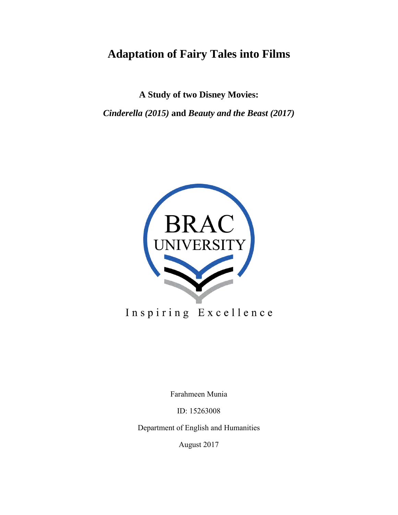## **Adaptation of Fairy Tales into Films**

**A Study of two Disney Movies:**

*Cinderella (2015)* **and** *Beauty and the Beast (2017)*



# Inspiring Excellence

Farahmeen Munia

ID: 15263008

Department of English and Humanities

August 2017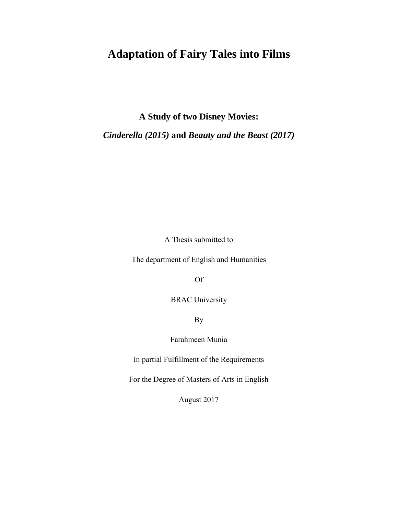## **Adaptation of Fairy Tales into Films**

**A Study of two Disney Movies:**

*Cinderella (2015)* **and** *Beauty and the Beast (2017)*

A Thesis submitted to

The department of English and Humanities

Of

BRAC University

By

Farahmeen Munia

In partial Fulfillment of the Requirements

For the Degree of Masters of Arts in English

August 2017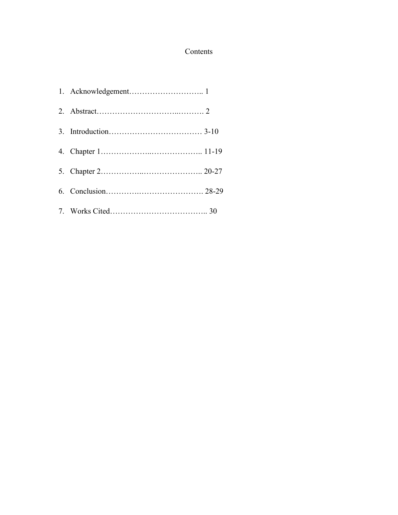### Contents

| 1. Acknowledgement 1 |  |
|----------------------|--|
|                      |  |
|                      |  |
|                      |  |
|                      |  |
|                      |  |
|                      |  |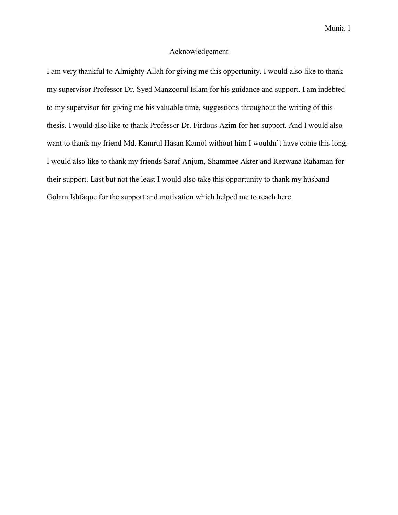#### Acknowledgement

I am very thankful to Almighty Allah for giving me this opportunity. I would also like to thank my supervisor Professor Dr. Syed Manzoorul Islam for his guidance and support. I am indebted to my supervisor for giving me his valuable time, suggestions throughout the writing of this thesis. I would also like to thank Professor Dr. Firdous Azim for her support. And I would also want to thank my friend Md. Kamrul Hasan Kamol without him I wouldn't have come this long. I would also like to thank my friends Saraf Anjum, Shammee Akter and Rezwana Rahaman for their support. Last but not the least I would also take this opportunity to thank my husband Golam Ishfaque for the support and motivation which helped me to reach here.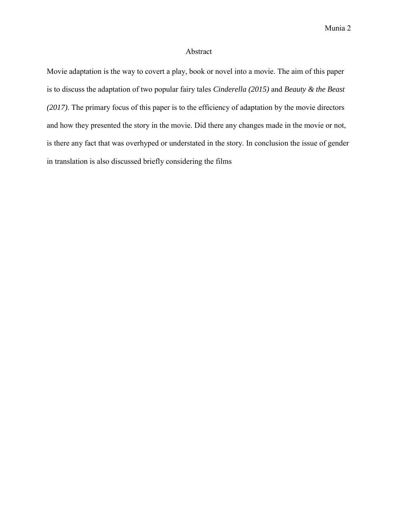#### Abstract

Movie adaptation is the way to covert a play, book or novel into a movie. The aim of this paper is to discuss the adaptation of two popular fairy tales *Cinderella (2015)* and *Beauty & the Beast (2017)*. The primary focus of this paper is to the efficiency of adaptation by the movie directors and how they presented the story in the movie. Did there any changes made in the movie or not, is there any fact that was overhyped or understated in the story. In conclusion the issue of gender in translation is also discussed briefly considering the films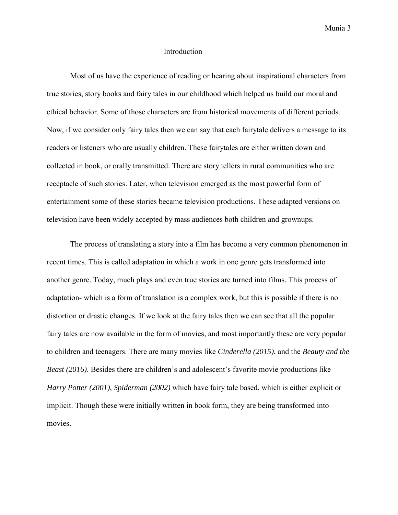#### **Introduction**

Most of us have the experience of reading or hearing about inspirational characters from true stories, story books and fairy tales in our childhood which helped us build our moral and ethical behavior. Some of those characters are from historical movements of different periods. Now, if we consider only fairy tales then we can say that each fairytale delivers a message to its readers or listeners who are usually children. These fairytales are either written down and collected in book, or orally transmitted. There are story tellers in rural communities who are receptacle of such stories. Later, when television emerged as the most powerful form of entertainment some of these stories became television productions. These adapted versions on television have been widely accepted by mass audiences both children and grownups.

The process of translating a story into a film has become a very common phenomenon in recent times. This is called adaptation in which a work in one genre gets transformed into another genre. Today, much plays and even true stories are turned into films. This process of adaptation- which is a form of translation is a complex work, but this is possible if there is no distortion or drastic changes. If we look at the fairy tales then we can see that all the popular fairy tales are now available in the form of movies, and most importantly these are very popular to children and teenagers. There are many movies like *Cinderella (2015)*, and the *Beauty and the Beast (2016)*. Besides there are children's and adolescent's favorite movie productions like *Harry Potter (2001)*, *Spiderman (2002)* which have fairy tale based, which is either explicit or implicit. Though these were initially written in book form, they are being transformed into movies.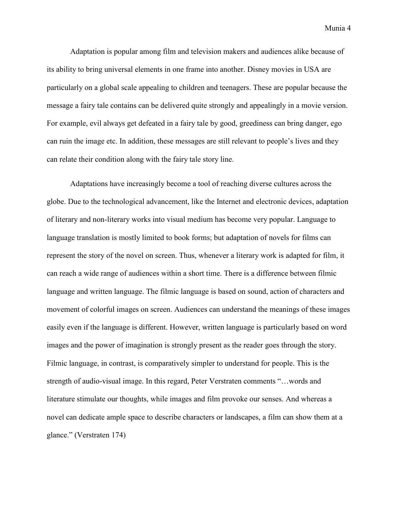Adaptation is popular among film and television makers and audiences alike because of its ability to bring universal elements in one frame into another. Disney movies in USA are particularly on a global scale appealing to children and teenagers. These are popular because the message a fairy tale contains can be delivered quite strongly and appealingly in a movie version. For example, evil always get defeated in a fairy tale by good, greediness can bring danger, ego can ruin the image etc. In addition, these messages are still relevant to people's lives and they can relate their condition along with the fairy tale story line.

Adaptations have increasingly become a tool of reaching diverse cultures across the globe. Due to the technological advancement, like the Internet and electronic devices, adaptation of literary and non-literary works into visual medium has become very popular. Language to language translation is mostly limited to book forms; but adaptation of novels for films can represent the story of the novel on screen. Thus, whenever a literary work is adapted for film, it can reach a wide range of audiences within a short time. There is a difference between filmic language and written language. The filmic language is based on sound, action of characters and movement of colorful images on screen. Audiences can understand the meanings of these images easily even if the language is different. However, written language is particularly based on word images and the power of imagination is strongly present as the reader goes through the story. Filmic language, in contrast, is comparatively simpler to understand for people. This is the strength of audio-visual image. In this regard, Peter Verstraten comments "…words and literature stimulate our thoughts, while images and film provoke our senses. And whereas a novel can dedicate ample space to describe characters or landscapes, a film can show them at a glance." (Verstraten 174)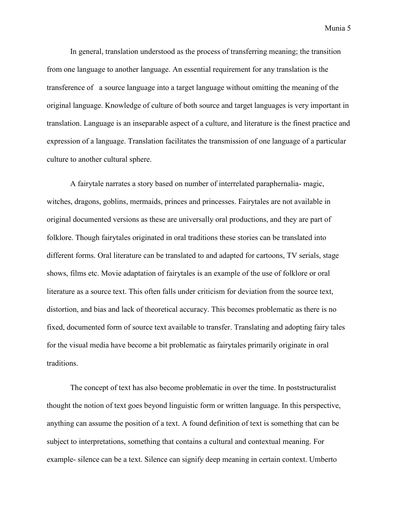In general, translation understood as the process of transferring meaning; the transition from one language to another language. An essential requirement for any translation is the transference of a source language into a target language without omitting the meaning of the original language. Knowledge of culture of both source and target languages is very important in translation. Language is an inseparable aspect of a culture, and literature is the finest practice and expression of a language. Translation facilitates the transmission of one language of a particular culture to another cultural sphere.

A fairytale narrates a story based on number of interrelated paraphernalia- magic, witches, dragons, goblins, mermaids, princes and princesses. Fairytales are not available in original documented versions as these are universally oral productions, and they are part of folklore. Though fairytales originated in oral traditions these stories can be translated into different forms. Oral literature can be translated to and adapted for cartoons, TV serials, stage shows, films etc. Movie adaptation of fairytales is an example of the use of folklore or oral literature as a source text. This often falls under criticism for deviation from the source text, distortion, and bias and lack of theoretical accuracy. This becomes problematic as there is no fixed, documented form of source text available to transfer. Translating and adopting fairy tales for the visual media have become a bit problematic as fairytales primarily originate in oral traditions.

The concept of text has also become problematic in over the time. In poststructuralist thought the notion of text goes beyond linguistic form or written language. In this perspective, anything can assume the position of a text. A found definition of text is something that can be subject to interpretations, something that contains a cultural and contextual meaning. For example- silence can be a text. Silence can signify deep meaning in certain context. Umberto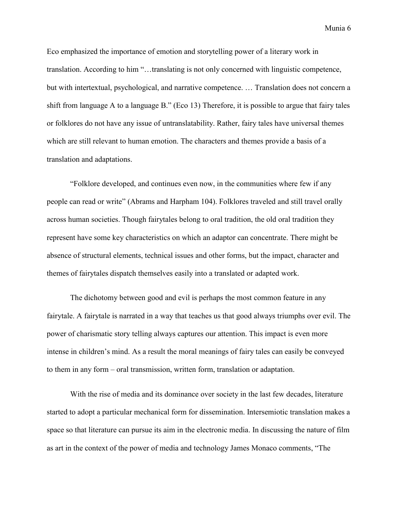Eco emphasized the importance of emotion and storytelling power of a literary work in translation. According to him "…translating is not only concerned with linguistic competence, but with intertextual, psychological, and narrative competence. … Translation does not concern a shift from language A to a language B." (Eco 13) Therefore, it is possible to argue that fairy tales or folklores do not have any issue of untranslatability. Rather, fairy tales have universal themes which are still relevant to human emotion. The characters and themes provide a basis of a translation and adaptations.

"Folklore developed, and continues even now, in the communities where few if any people can read or write" (Abrams and Harpham 104). Folklores traveled and still travel orally across human societies. Though fairytales belong to oral tradition, the old oral tradition they represent have some key characteristics on which an adaptor can concentrate. There might be absence of structural elements, technical issues and other forms, but the impact, character and themes of fairytales dispatch themselves easily into a translated or adapted work.

The dichotomy between good and evil is perhaps the most common feature in any fairytale. A fairytale is narrated in a way that teaches us that good always triumphs over evil. The power of charismatic story telling always captures our attention. This impact is even more intense in children's mind. As a result the moral meanings of fairy tales can easily be conveyed to them in any form – oral transmission, written form, translation or adaptation.

With the rise of media and its dominance over society in the last few decades, literature started to adopt a particular mechanical form for dissemination. Intersemiotic translation makes a space so that literature can pursue its aim in the electronic media. In discussing the nature of film as art in the context of the power of media and technology James Monaco comments, "The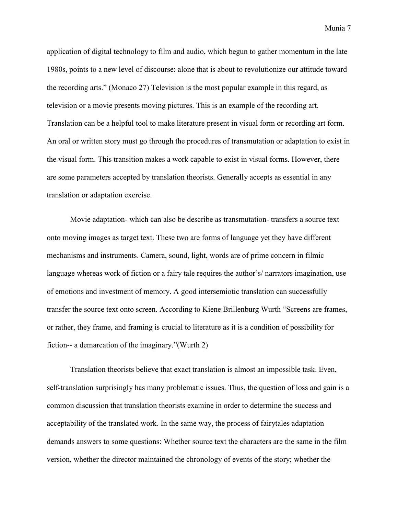application of digital technology to film and audio, which begun to gather momentum in the late 1980s, points to a new level of discourse: alone that is about to revolutionize our attitude toward the recording arts." (Monaco 27) Television is the most popular example in this regard, as television or a movie presents moving pictures. This is an example of the recording art. Translation can be a helpful tool to make literature present in visual form or recording art form. An oral or written story must go through the procedures of transmutation or adaptation to exist in the visual form. This transition makes a work capable to exist in visual forms. However, there are some parameters accepted by translation theorists. Generally accepts as essential in any translation or adaptation exercise.

Movie adaptation- which can also be describe as transmutation- transfers a source text onto moving images as target text. These two are forms of language yet they have different mechanisms and instruments. Camera, sound, light, words are of prime concern in filmic language whereas work of fiction or a fairy tale requires the author's/ narrators imagination, use of emotions and investment of memory. A good intersemiotic translation can successfully transfer the source text onto screen. According to Kiene Brillenburg Wurth "Screens are frames, or rather, they frame, and framing is crucial to literature as it is a condition of possibility for fiction-- a demarcation of the imaginary."(Wurth 2)

Translation theorists believe that exact translation is almost an impossible task. Even, self-translation surprisingly has many problematic issues. Thus, the question of loss and gain is a common discussion that translation theorists examine in order to determine the success and acceptability of the translated work. In the same way, the process of fairytales adaptation demands answers to some questions: Whether source text the characters are the same in the film version, whether the director maintained the chronology of events of the story; whether the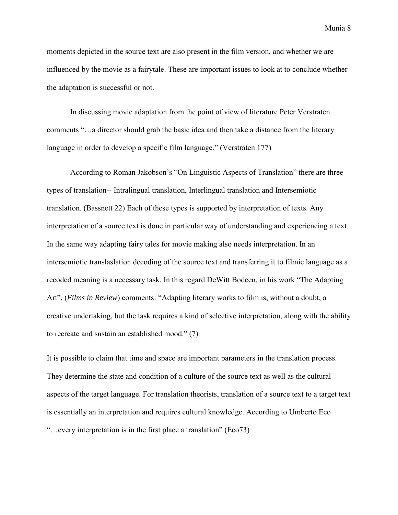moments depicted in the source text are also present in the film version, and whether we are influenced by the movie as a fairytale. These are important issues to look at to conclude whether the adaptation is successful or not.

In discussing movie adaptation from the point of view of literature Peter Verstraten comments "…a director should grab the basic idea and then take a distance from the literary language in order to develop a specific film language." (Verstraten 177)

According to Roman Jakobson's "On Linguistic Aspects of Translation" there are three types of translation-- Intralingual translation, Interlingual translation and Intersemiotic translation. (Bassnett 22) Each of these types is supported by interpretation of texts. Any interpretation of a source text is done in particular way of understanding and experiencing a text. In the same way adapting fairy tales for movie making also needs interpretation. In an intersemiotic translaslation decoding of the source text and transferring it to filmic language as a recoded meaning is a necessary task. In this regard DeWitt Bodeen, in his work "The Adapting Art", (*Films in Review*) comments: "Adapting literary works to film is, without a doubt, a creative undertaking, but the task requires a kind of selective interpretation, along with the ability to recreate and sustain an established mood." (7)

It is possible to claim that time and space are important parameters in the translation process. They determine the state and condition of a culture of the source text as well as the cultural aspects of the target language. For translation theorists, translation of a source text to a target text is essentially an interpretation and requires cultural knowledge. According to Umberto Eco "…every interpretation is in the first place a translation" (Eco73)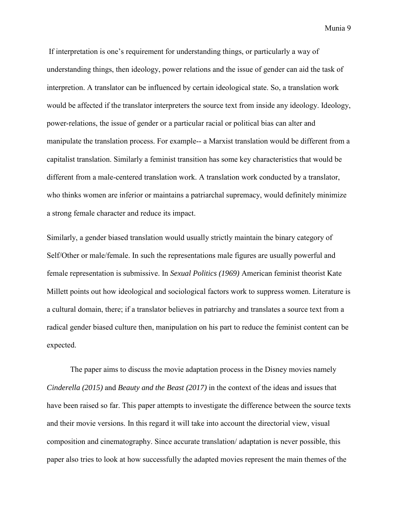If interpretation is one's requirement for understanding things, or particularly a way of understanding things, then ideology, power relations and the issue of gender can aid the task of interpretion. A translator can be influenced by certain ideological state. So, a translation work would be affected if the translator interpreters the source text from inside any ideology. Ideology, power-relations, the issue of gender or a particular racial or political bias can alter and manipulate the translation process. For example-- a Marxist translation would be different from a capitalist translation. Similarly a feminist transition has some key characteristics that would be different from a male-centered translation work. A translation work conducted by a translator, who thinks women are inferior or maintains a patriarchal supremacy, would definitely minimize a strong female character and reduce its impact.

Similarly, a gender biased translation would usually strictly maintain the binary category of Self/Other or male/female. In such the representations male figures are usually powerful and female representation is submissive. In *Sexual Politics (1969)* American feminist theorist Kate Millett points out how ideological and sociological factors work to suppress women. Literature is a cultural domain, there; if a translator believes in patriarchy and translates a source text from a radical gender biased culture then, manipulation on his part to reduce the feminist content can be expected.

The paper aims to discuss the movie adaptation process in the Disney movies namely *Cinderella (2015)* and *Beauty and the Beast (2017)* in the context of the ideas and issues that have been raised so far. This paper attempts to investigate the difference between the source texts and their movie versions. In this regard it will take into account the directorial view, visual composition and cinematography. Since accurate translation/ adaptation is never possible, this paper also tries to look at how successfully the adapted movies represent the main themes of the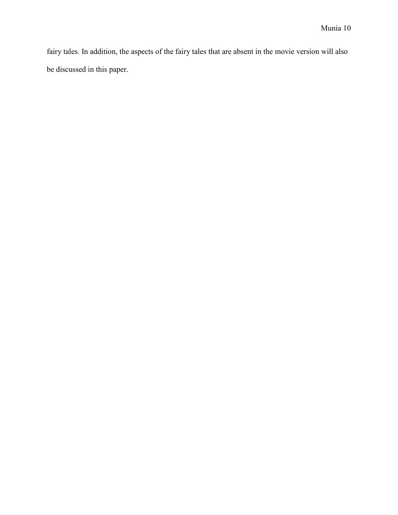fairy tales. In addition, the aspects of the fairy tales that are absent in the movie version will also be discussed in this paper.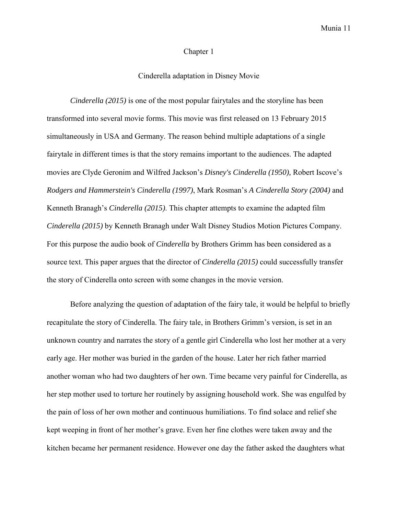#### Chapter 1

#### Cinderella adaptation in Disney Movie

*Cinderella (2015)* is one of the most popular fairytales and the storyline has been transformed into several movie forms. This movie was first released on 13 February 2015 simultaneously in USA and Germany. The reason behind multiple adaptations of a single fairytale in different times is that the story remains important to the audiences. The adapted movies are Clyde Geronim and Wilfred Jackson's *Disney's Cinderella (1950),* Robert Iscove's *Rodgers and Hammerstein's Cinderella (1997)*, Mark Rosman's *A Cinderella Story (2004)* and Kenneth Branagh's *Cinderella (2015)*. This chapter attempts to examine the adapted film *Cinderella (2015)* by Kenneth Branagh under Walt Disney Studios Motion Pictures Company. For this purpose the audio book of *Cinderella* by Brothers Grimm has been considered as a source text. This paper argues that the director of *Cinderella (2015)* could successfully transfer the story of Cinderella onto screen with some changes in the movie version.

Before analyzing the question of adaptation of the fairy tale, it would be helpful to briefly recapitulate the story of Cinderella. The fairy tale, in Brothers Grimm's version, is set in an unknown country and narrates the story of a gentle girl Cinderella who lost her mother at a very early age. Her mother was buried in the garden of the house. Later her rich father married another woman who had two daughters of her own. Time became very painful for Cinderella, as her step mother used to torture her routinely by assigning household work. She was engulfed by the pain of loss of her own mother and continuous humiliations. To find solace and relief she kept weeping in front of her mother's grave. Even her fine clothes were taken away and the kitchen became her permanent residence. However one day the father asked the daughters what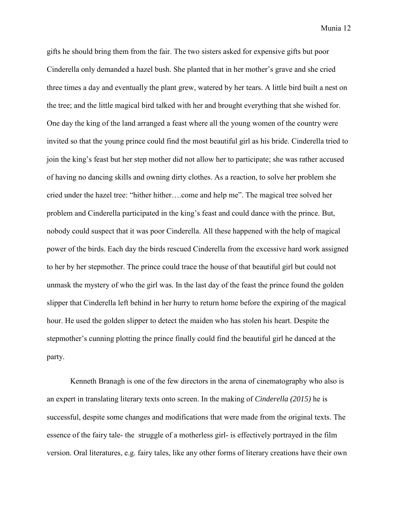gifts he should bring them from the fair. The two sisters asked for expensive gifts but poor Cinderella only demanded a hazel bush. She planted that in her mother's grave and she cried three times a day and eventually the plant grew, watered by her tears. A little bird built a nest on the tree; and the little magical bird talked with her and brought everything that she wished for. One day the king of the land arranged a feast where all the young women of the country were invited so that the young prince could find the most beautiful girl as his bride. Cinderella tried to join the king's feast but her step mother did not allow her to participate; she was rather accused of having no dancing skills and owning dirty clothes. As a reaction, to solve her problem she cried under the hazel tree: "hither hither….come and help me". The magical tree solved her problem and Cinderella participated in the king's feast and could dance with the prince. But, nobody could suspect that it was poor Cinderella. All these happened with the help of magical power of the birds. Each day the birds rescued Cinderella from the excessive hard work assigned to her by her stepmother. The prince could trace the house of that beautiful girl but could not unmask the mystery of who the girl was. In the last day of the feast the prince found the golden slipper that Cinderella left behind in her hurry to return home before the expiring of the magical hour. He used the golden slipper to detect the maiden who has stolen his heart. Despite the stepmother's cunning plotting the prince finally could find the beautiful girl he danced at the party.

Kenneth Branagh is one of the few directors in the arena of cinematography who also is an expert in translating literary texts onto screen. In the making of *Cinderella (2015)* he is successful, despite some changes and modifications that were made from the original texts. The essence of the fairy tale- the struggle of a motherless girl- is effectively portrayed in the film version. Oral literatures, e.g. fairy tales, like any other forms of literary creations have their own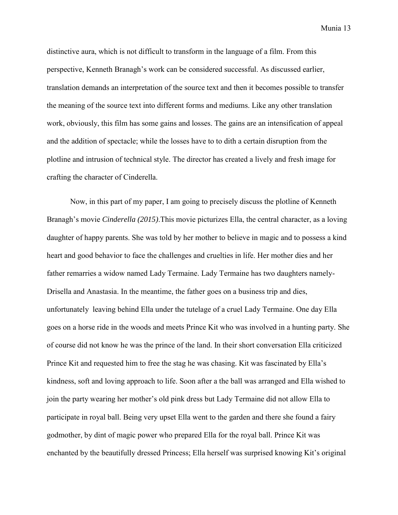distinctive aura, which is not difficult to transform in the language of a film. From this perspective, Kenneth Branagh's work can be considered successful. As discussed earlier, translation demands an interpretation of the source text and then it becomes possible to transfer the meaning of the source text into different forms and mediums. Like any other translation work, obviously, this film has some gains and losses. The gains are an intensification of appeal and the addition of spectacle; while the losses have to to dith a certain disruption from the plotline and intrusion of technical style. The director has created a lively and fresh image for crafting the character of Cinderella.

Now, in this part of my paper, I am going to precisely discuss the plotline of Kenneth Branagh's movie *Cinderella (2015)*.This movie picturizes Ella, the central character, as a loving daughter of happy parents. She was told by her mother to believe in magic and to possess a kind heart and good behavior to face the challenges and cruelties in life. Her mother dies and her father remarries a widow named Lady Termaine. Lady Termaine has two daughters namely-Drisella and Anastasia. In the meantime, the father goes on a business trip and dies, unfortunately leaving behind Ella under the tutelage of a cruel Lady Termaine. One day Ella goes on a horse ride in the woods and meets Prince Kit who was involved in a hunting party. She of course did not know he was the prince of the land. In their short conversation Ella criticized Prince Kit and requested him to free the stag he was chasing. Kit was fascinated by Ella's kindness, soft and loving approach to life. Soon after a the ball was arranged and Ella wished to join the party wearing her mother's old pink dress but Lady Termaine did not allow Ella to participate in royal ball. Being very upset Ella went to the garden and there she found a fairy godmother, by dint of magic power who prepared Ella for the royal ball. Prince Kit was enchanted by the beautifully dressed Princess; Ella herself was surprised knowing Kit's original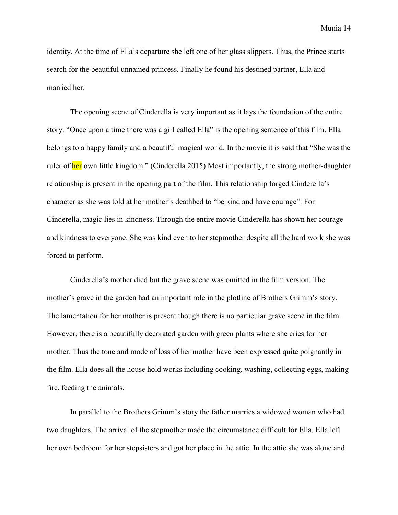identity. At the time of Ella's departure she left one of her glass slippers. Thus, the Prince starts search for the beautiful unnamed princess. Finally he found his destined partner, Ella and married her.

The opening scene of Cinderella is very important as it lays the foundation of the entire story. "Once upon a time there was a girl called Ella" is the opening sentence of this film. Ella belongs to a happy family and a beautiful magical world. In the movie it is said that "She was the ruler of her own little kingdom." (Cinderella 2015) Most importantly, the strong mother-daughter relationship is present in the opening part of the film. This relationship forged Cinderella's character as she was told at her mother's deathbed to "be kind and have courage". For Cinderella, magic lies in kindness. Through the entire movie Cinderella has shown her courage and kindness to everyone. She was kind even to her stepmother despite all the hard work she was forced to perform.

Cinderella's mother died but the grave scene was omitted in the film version. The mother's grave in the garden had an important role in the plotline of Brothers Grimm's story. The lamentation for her mother is present though there is no particular grave scene in the film. However, there is a beautifully decorated garden with green plants where she cries for her mother. Thus the tone and mode of loss of her mother have been expressed quite poignantly in the film. Ella does all the house hold works including cooking, washing, collecting eggs, making fire, feeding the animals.

In parallel to the Brothers Grimm's story the father marries a widowed woman who had two daughters. The arrival of the stepmother made the circumstance difficult for Ella. Ella left her own bedroom for her stepsisters and got her place in the attic. In the attic she was alone and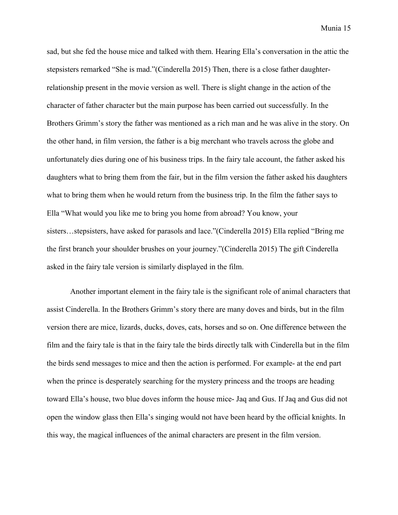sad, but she fed the house mice and talked with them. Hearing Ella's conversation in the attic the stepsisters remarked "She is mad."(Cinderella 2015) Then, there is a close father daughterrelationship present in the movie version as well. There is slight change in the action of the character of father character but the main purpose has been carried out successfully. In the Brothers Grimm's story the father was mentioned as a rich man and he was alive in the story. On the other hand, in film version, the father is a big merchant who travels across the globe and unfortunately dies during one of his business trips. In the fairy tale account, the father asked his daughters what to bring them from the fair, but in the film version the father asked his daughters what to bring them when he would return from the business trip. In the film the father says to Ella "What would you like me to bring you home from abroad? You know, your sisters…stepsisters, have asked for parasols and lace."(Cinderella 2015) Ella replied "Bring me the first branch your shoulder brushes on your journey."(Cinderella 2015) The gift Cinderella asked in the fairy tale version is similarly displayed in the film.

Another important element in the fairy tale is the significant role of animal characters that assist Cinderella. In the Brothers Grimm's story there are many doves and birds, but in the film version there are mice, lizards, ducks, doves, cats, horses and so on. One difference between the film and the fairy tale is that in the fairy tale the birds directly talk with Cinderella but in the film the birds send messages to mice and then the action is performed. For example- at the end part when the prince is desperately searching for the mystery princess and the troops are heading toward Ella's house, two blue doves inform the house mice- Jaq and Gus. If Jaq and Gus did not open the window glass then Ella's singing would not have been heard by the official knights. In this way, the magical influences of the animal characters are present in the film version.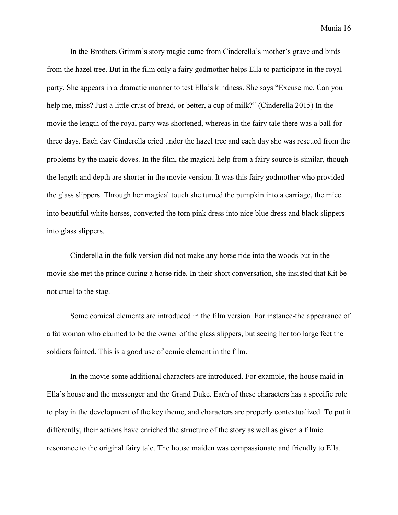In the Brothers Grimm's story magic came from Cinderella's mother's grave and birds from the hazel tree. But in the film only a fairy godmother helps Ella to participate in the royal party. She appears in a dramatic manner to test Ella's kindness. She says "Excuse me. Can you help me, miss? Just a little crust of bread, or better, a cup of milk?" (Cinderella 2015) In the movie the length of the royal party was shortened, whereas in the fairy tale there was a ball for three days. Each day Cinderella cried under the hazel tree and each day she was rescued from the problems by the magic doves. In the film, the magical help from a fairy source is similar, though the length and depth are shorter in the movie version. It was this fairy godmother who provided the glass slippers. Through her magical touch she turned the pumpkin into a carriage, the mice into beautiful white horses, converted the torn pink dress into nice blue dress and black slippers into glass slippers.

Cinderella in the folk version did not make any horse ride into the woods but in the movie she met the prince during a horse ride. In their short conversation, she insisted that Kit be not cruel to the stag.

Some comical elements are introduced in the film version. For instance-the appearance of a fat woman who claimed to be the owner of the glass slippers, but seeing her too large feet the soldiers fainted. This is a good use of comic element in the film.

In the movie some additional characters are introduced. For example, the house maid in Ella's house and the messenger and the Grand Duke. Each of these characters has a specific role to play in the development of the key theme, and characters are properly contextualized. To put it differently, their actions have enriched the structure of the story as well as given a filmic resonance to the original fairy tale. The house maiden was compassionate and friendly to Ella.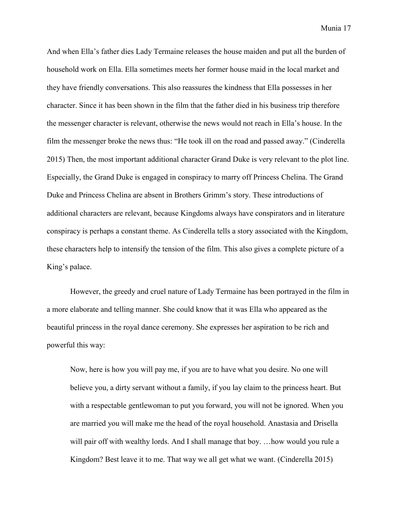And when Ella's father dies Lady Termaine releases the house maiden and put all the burden of household work on Ella. Ella sometimes meets her former house maid in the local market and they have friendly conversations. This also reassures the kindness that Ella possesses in her character. Since it has been shown in the film that the father died in his business trip therefore the messenger character is relevant, otherwise the news would not reach in Ella's house. In the film the messenger broke the news thus: "He took ill on the road and passed away." (Cinderella 2015) Then, the most important additional character Grand Duke is very relevant to the plot line. Especially, the Grand Duke is engaged in conspiracy to marry off Princess Chelina. The Grand Duke and Princess Chelina are absent in Brothers Grimm's story. These introductions of additional characters are relevant, because Kingdoms always have conspirators and in literature conspiracy is perhaps a constant theme. As Cinderella tells a story associated with the Kingdom, these characters help to intensify the tension of the film. This also gives a complete picture of a King's palace.

However, the greedy and cruel nature of Lady Termaine has been portrayed in the film in a more elaborate and telling manner. She could know that it was Ella who appeared as the beautiful princess in the royal dance ceremony. She expresses her aspiration to be rich and powerful this way:

Now, here is how you will pay me, if you are to have what you desire. No one will believe you, a dirty servant without a family, if you lay claim to the princess heart. But with a respectable gentlewoman to put you forward, you will not be ignored. When you are married you will make me the head of the royal household. Anastasia and Drisella will pair off with wealthy lords. And I shall manage that boy. …how would you rule a Kingdom? Best leave it to me. That way we all get what we want. (Cinderella 2015)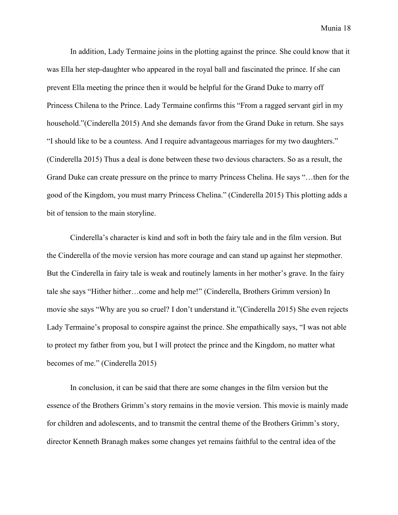In addition, Lady Termaine joins in the plotting against the prince. She could know that it was Ella her step-daughter who appeared in the royal ball and fascinated the prince. If she can prevent Ella meeting the prince then it would be helpful for the Grand Duke to marry off Princess Chilena to the Prince. Lady Termaine confirms this "From a ragged servant girl in my household."(Cinderella 2015) And she demands favor from the Grand Duke in return. She says "I should like to be a countess. And I require advantageous marriages for my two daughters." (Cinderella 2015) Thus a deal is done between these two devious characters. So as a result, the Grand Duke can create pressure on the prince to marry Princess Chelina. He says "…then for the good of the Kingdom, you must marry Princess Chelina." (Cinderella 2015) This plotting adds a bit of tension to the main storyline.

Cinderella's character is kind and soft in both the fairy tale and in the film version. But the Cinderella of the movie version has more courage and can stand up against her stepmother. But the Cinderella in fairy tale is weak and routinely laments in her mother's grave. In the fairy tale she says "Hither hither…come and help me!" (Cinderella, Brothers Grimm version) In movie she says "Why are you so cruel? I don't understand it."(Cinderella 2015) She even rejects Lady Termaine's proposal to conspire against the prince. She empathically says, "I was not able to protect my father from you, but I will protect the prince and the Kingdom, no matter what becomes of me." (Cinderella 2015)

In conclusion, it can be said that there are some changes in the film version but the essence of the Brothers Grimm's story remains in the movie version. This movie is mainly made for children and adolescents, and to transmit the central theme of the Brothers Grimm's story, director Kenneth Branagh makes some changes yet remains faithful to the central idea of the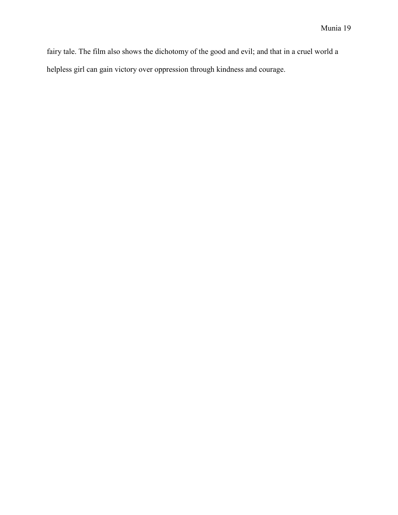fairy tale. The film also shows the dichotomy of the good and evil; and that in a cruel world a helpless girl can gain victory over oppression through kindness and courage.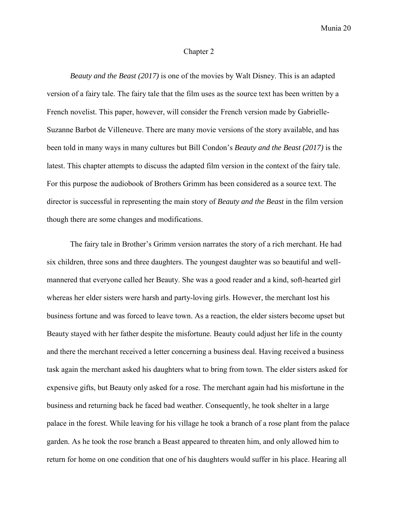#### Chapter 2

*Beauty and the Beast (2017)* is one of the movies by Walt Disney. This is an adapted version of a fairy tale. The fairy tale that the film uses as the source text has been written by a French novelist. This paper, however, will consider the French version made by Gabrielle-Suzanne Barbot de Villeneuve. There are many movie versions of the story available, and has been told in many ways in many cultures but Bill Condon's *Beauty and the Beast (2017)* is the latest. This chapter attempts to discuss the adapted film version in the context of the fairy tale. For this purpose the audiobook of Brothers Grimm has been considered as a source text. The director is successful in representing the main story of *Beauty and the Beast* in the film version though there are some changes and modifications.

The fairy tale in Brother's Grimm version narrates the story of a rich merchant. He had six children, three sons and three daughters. The youngest daughter was so beautiful and wellmannered that everyone called her Beauty. She was a good reader and a kind, soft-hearted girl whereas her elder sisters were harsh and party-loving girls. However, the merchant lost his business fortune and was forced to leave town. As a reaction, the elder sisters become upset but Beauty stayed with her father despite the misfortune. Beauty could adjust her life in the county and there the merchant received a letter concerning a business deal. Having received a business task again the merchant asked his daughters what to bring from town. The elder sisters asked for expensive gifts, but Beauty only asked for a rose. The merchant again had his misfortune in the business and returning back he faced bad weather. Consequently, he took shelter in a large palace in the forest. While leaving for his village he took a branch of a rose plant from the palace garden. As he took the rose branch a Beast appeared to threaten him, and only allowed him to return for home on one condition that one of his daughters would suffer in his place. Hearing all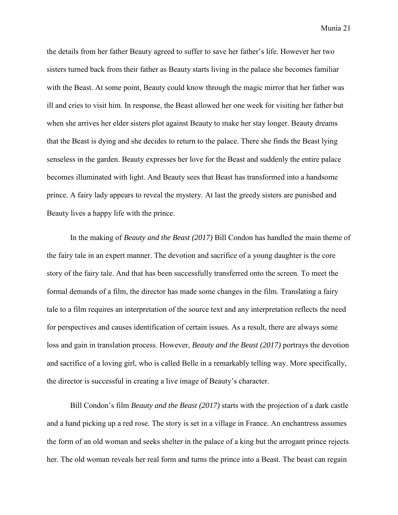the details from her father Beauty agreed to suffer to save her father's life. However her two sisters turned back from their father as Beauty starts living in the palace she becomes familiar with the Beast. At some point, Beauty could know through the magic mirror that her father was ill and cries to visit him. In response, the Beast allowed her one week for visiting her father but when she arrives her elder sisters plot against Beauty to make her stay longer. Beauty dreams that the Beast is dying and she decides to return to the palace. There she finds the Beast lying senseless in the garden. Beauty expresses her love for the Beast and suddenly the entire palace becomes illuminated with light. And Beauty sees that Beast has transformed into a handsome prince. A fairy lady appears to reveal the mystery. At last the greedy sisters are punished and Beauty lives a happy life with the prince.

In the making of *Beauty and the Beast (2017)* Bill Condon has handled the main theme of the fairy tale in an expert manner. The devotion and sacrifice of a young daughter is the core story of the fairy tale. And that has been successfully transferred onto the screen. To meet the formal demands of a film, the director has made some changes in the film. Translating a fairy tale to a film requires an interpretation of the source text and any interpretation reflects the need for perspectives and causes identification of certain issues. As a result, there are always some loss and gain in translation process. However, *Beauty and the Beast (2017)* portrays the devotion and sacrifice of a loving girl, who is called Belle in a remarkably telling way. More specifically, the director is successful in creating a live image of Beauty's character.

Bill Condon's film *Beauty and the Beast (2017)* starts with the projection of a dark castle and a hand picking up a red rose. The story is set in a village in France. An enchantress assumes the form of an old woman and seeks shelter in the palace of a king but the arrogant prince rejects her. The old woman reveals her real form and turns the prince into a Beast. The beast can regain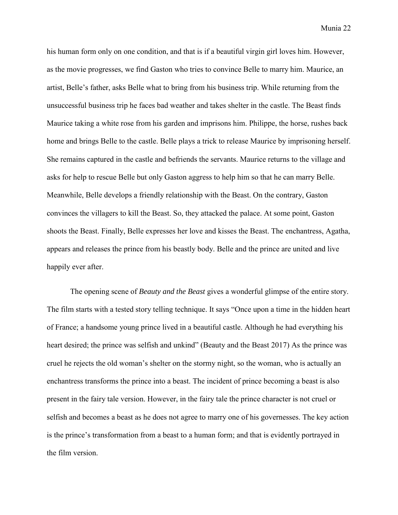his human form only on one condition, and that is if a beautiful virgin girl loves him. However, as the movie progresses, we find Gaston who tries to convince Belle to marry him. Maurice, an artist, Belle's father, asks Belle what to bring from his business trip. While returning from the unsuccessful business trip he faces bad weather and takes shelter in the castle. The Beast finds Maurice taking a white rose from his garden and imprisons him. Philippe, the horse, rushes back home and brings Belle to the castle. Belle plays a trick to release Maurice by imprisoning herself. She remains captured in the castle and befriends the servants. Maurice returns to the village and asks for help to rescue Belle but only Gaston aggress to help him so that he can marry Belle. Meanwhile, Belle develops a friendly relationship with the Beast. On the contrary, Gaston convinces the villagers to kill the Beast. So, they attacked the palace. At some point, Gaston shoots the Beast. Finally, Belle expresses her love and kisses the Beast. The enchantress, Agatha, appears and releases the prince from his beastly body. Belle and the prince are united and live happily ever after.

The opening scene of *Beauty and the Beast* gives a wonderful glimpse of the entire story. The film starts with a tested story telling technique. It says "Once upon a time in the hidden heart of France; a handsome young prince lived in a beautiful castle. Although he had everything his heart desired; the prince was selfish and unkind" (Beauty and the Beast 2017) As the prince was cruel he rejects the old woman's shelter on the stormy night, so the woman, who is actually an enchantress transforms the prince into a beast. The incident of prince becoming a beast is also present in the fairy tale version. However, in the fairy tale the prince character is not cruel or selfish and becomes a beast as he does not agree to marry one of his governesses. The key action is the prince's transformation from a beast to a human form; and that is evidently portrayed in the film version.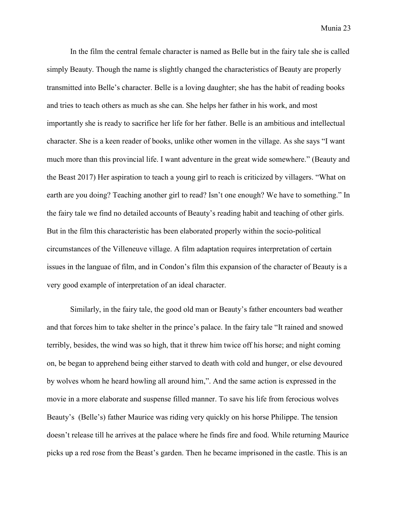In the film the central female character is named as Belle but in the fairy tale she is called simply Beauty. Though the name is slightly changed the characteristics of Beauty are properly transmitted into Belle's character. Belle is a loving daughter; she has the habit of reading books and tries to teach others as much as she can. She helps her father in his work, and most importantly she is ready to sacrifice her life for her father. Belle is an ambitious and intellectual character. She is a keen reader of books, unlike other women in the village. As she says "I want much more than this provincial life. I want adventure in the great wide somewhere." (Beauty and the Beast 2017) Her aspiration to teach a young girl to reach is criticized by villagers. "What on earth are you doing? Teaching another girl to read? Isn't one enough? We have to something." In the fairy tale we find no detailed accounts of Beauty's reading habit and teaching of other girls. But in the film this characteristic has been elaborated properly within the socio-political circumstances of the Villeneuve village. A film adaptation requires interpretation of certain issues in the languae of film, and in Condon's film this expansion of the character of Beauty is a very good example of interpretation of an ideal character.

Similarly, in the fairy tale, the good old man or Beauty's father encounters bad weather and that forces him to take shelter in the prince's palace. In the fairy tale "It rained and snowed terribly, besides, the wind was so high, that it threw him twice off his horse; and night coming on, be began to apprehend being either starved to death with cold and hunger, or else devoured by wolves whom he heard howling all around him,". And the same action is expressed in the movie in a more elaborate and suspense filled manner. To save his life from ferocious wolves Beauty's (Belle's) father Maurice was riding very quickly on his horse Philippe. The tension doesn't release till he arrives at the palace where he finds fire and food. While returning Maurice picks up a red rose from the Beast's garden. Then he became imprisoned in the castle. This is an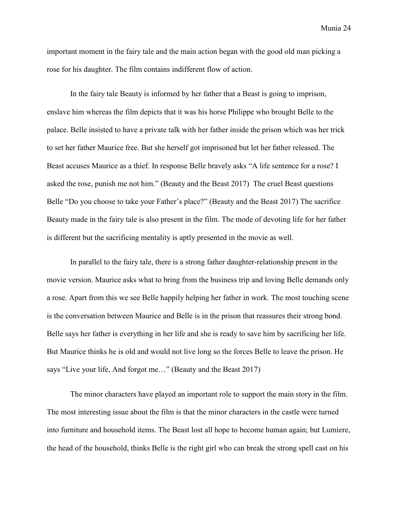important moment in the fairy tale and the main action began with the good old man picking a rose for his daughter. The film contains indifferent flow of action.

In the fairy tale Beauty is informed by her father that a Beast is going to imprison, enslave him whereas the film depicts that it was his horse Philippe who brought Belle to the palace. Belle insisted to have a private talk with her father inside the prison which was her trick to set her father Maurice free. But she herself got imprisoned but let her father released. The Beast accuses Maurice as a thief. In response Belle bravely asks "A life sentence for a rose? I asked the rose, punish me not him." (Beauty and the Beast 2017) The cruel Beast questions Belle "Do you choose to take your Father's place?" (Beauty and the Beast 2017) The sacrifice Beauty made in the fairy tale is also present in the film. The mode of devoting life for her father is different but the sacrificing mentality is aptly presented in the movie as well.

In parallel to the fairy tale, there is a strong father daughter-relationship present in the movie version. Maurice asks what to bring from the business trip and loving Belle demands only a rose. Apart from this we see Belle happily helping her father in work. The most touching scene is the conversation between Maurice and Belle is in the prison that reassures their strong bond. Belle says her father is everything in her life and she is ready to save him by sacrificing her life. But Maurice thinks he is old and would not live long so the forces Belle to leave the prison. He says "Live your life, And forgot me…" (Beauty and the Beast 2017)

The minor characters have played an important role to support the main story in the film. The most interesting issue about the film is that the minor characters in the castle were turned into furniture and household items. The Beast lost all hope to become human again; but Lumiere, the head of the household, thinks Belle is the right girl who can break the strong spell cast on his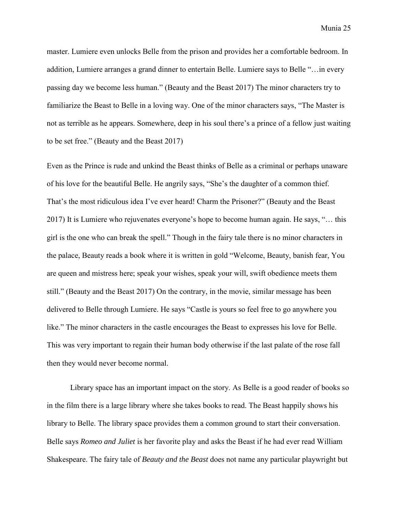master. Lumiere even unlocks Belle from the prison and provides her a comfortable bedroom. In addition, Lumiere arranges a grand dinner to entertain Belle. Lumiere says to Belle "…in every passing day we become less human." (Beauty and the Beast 2017) The minor characters try to familiarize the Beast to Belle in a loving way. One of the minor characters says, "The Master is not as terrible as he appears. Somewhere, deep in his soul there's a prince of a fellow just waiting to be set free." (Beauty and the Beast 2017)

Even as the Prince is rude and unkind the Beast thinks of Belle as a criminal or perhaps unaware of his love for the beautiful Belle. He angrily says, "She's the daughter of a common thief. That's the most ridiculous idea I've ever heard! Charm the Prisoner?" (Beauty and the Beast 2017) It is Lumiere who rejuvenates everyone's hope to become human again. He says, "… this girl is the one who can break the spell." Though in the fairy tale there is no minor characters in the palace, Beauty reads a book where it is written in gold "Welcome, Beauty, banish fear, You are queen and mistress here; speak your wishes, speak your will, swift obedience meets them still." (Beauty and the Beast 2017) On the contrary, in the movie, similar message has been delivered to Belle through Lumiere. He says "Castle is yours so feel free to go anywhere you like." The minor characters in the castle encourages the Beast to expresses his love for Belle. This was very important to regain their human body otherwise if the last palate of the rose fall then they would never become normal.

Library space has an important impact on the story. As Belle is a good reader of books so in the film there is a large library where she takes books to read. The Beast happily shows his library to Belle. The library space provides them a common ground to start their conversation. Belle says *Romeo and Juliet* is her favorite play and asks the Beast if he had ever read William Shakespeare. The fairy tale of *Beauty and the Beast* does not name any particular playwright but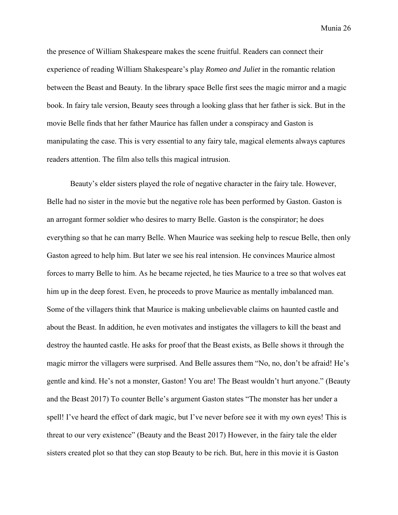the presence of William Shakespeare makes the scene fruitful. Readers can connect their experience of reading William Shakespeare's play *Romeo and Juliet* in the romantic relation between the Beast and Beauty. In the library space Belle first sees the magic mirror and a magic book. In fairy tale version, Beauty sees through a looking glass that her father is sick. But in the movie Belle finds that her father Maurice has fallen under a conspiracy and Gaston is manipulating the case. This is very essential to any fairy tale, magical elements always captures readers attention. The film also tells this magical intrusion.

Beauty's elder sisters played the role of negative character in the fairy tale. However, Belle had no sister in the movie but the negative role has been performed by Gaston. Gaston is an arrogant former soldier who desires to marry Belle. Gaston is the conspirator; he does everything so that he can marry Belle. When Maurice was seeking help to rescue Belle, then only Gaston agreed to help him. But later we see his real intension. He convinces Maurice almost forces to marry Belle to him. As he became rejected, he ties Maurice to a tree so that wolves eat him up in the deep forest. Even, he proceeds to prove Maurice as mentally imbalanced man. Some of the villagers think that Maurice is making unbelievable claims on haunted castle and about the Beast. In addition, he even motivates and instigates the villagers to kill the beast and destroy the haunted castle. He asks for proof that the Beast exists, as Belle shows it through the magic mirror the villagers were surprised. And Belle assures them "No, no, don't be afraid! He's gentle and kind. He's not a monster, Gaston! You are! The Beast wouldn't hurt anyone." (Beauty and the Beast 2017) To counter Belle's argument Gaston states "The monster has her under a spell! I've heard the effect of dark magic, but I've never before see it with my own eyes! This is threat to our very existence" (Beauty and the Beast 2017) However, in the fairy tale the elder sisters created plot so that they can stop Beauty to be rich. But, here in this movie it is Gaston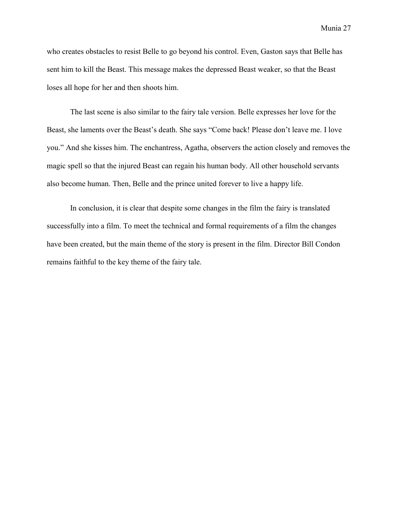who creates obstacles to resist Belle to go beyond his control. Even, Gaston says that Belle has sent him to kill the Beast. This message makes the depressed Beast weaker, so that the Beast loses all hope for her and then shoots him.

The last scene is also similar to the fairy tale version. Belle expresses her love for the Beast, she laments over the Beast's death. She says "Come back! Please don't leave me. I love you." And she kisses him. The enchantress, Agatha, observers the action closely and removes the magic spell so that the injured Beast can regain his human body. All other household servants also become human. Then, Belle and the prince united forever to live a happy life.

In conclusion, it is clear that despite some changes in the film the fairy is translated successfully into a film. To meet the technical and formal requirements of a film the changes have been created, but the main theme of the story is present in the film. Director Bill Condon remains faithful to the key theme of the fairy tale.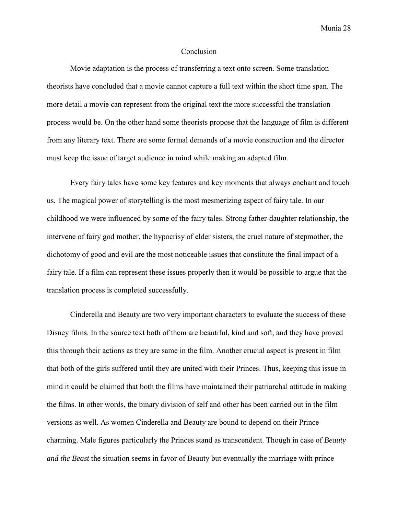#### **Conclusion**

Movie adaptation is the process of transferring a text onto screen. Some translation theorists have concluded that a movie cannot capture a full text within the short time span. The more detail a movie can represent from the original text the more successful the translation process would be. On the other hand some theorists propose that the language of film is different from any literary text. There are some formal demands of a movie construction and the director must keep the issue of target audience in mind while making an adapted film.

Every fairy tales have some key features and key moments that always enchant and touch us. The magical power of storytelling is the most mesmerizing aspect of fairy tale. In our childhood we were influenced by some of the fairy tales. Strong father-daughter relationship, the intervene of fairy god mother, the hypocrisy of elder sisters, the cruel nature of stepmother, the dichotomy of good and evil are the most noticeable issues that constitute the final impact of a fairy tale. If a film can represent these issues properly then it would be possible to argue that the translation process is completed successfully.

Cinderella and Beauty are two very important characters to evaluate the success of these Disney films. In the source text both of them are beautiful, kind and soft, and they have proved this through their actions as they are same in the film. Another crucial aspect is present in film that both of the girls suffered until they are united with their Princes. Thus, keeping this issue in mind it could be claimed that both the films have maintained their patriarchal attitude in making the films. In other words, the binary division of self and other has been carried out in the film versions as well. As women Cinderella and Beauty are bound to depend on their Prince charming. Male figures particularly the Princes stand as transcendent. Though in case of *Beauty and the Beast* the situation seems in favor of Beauty but eventually the marriage with prince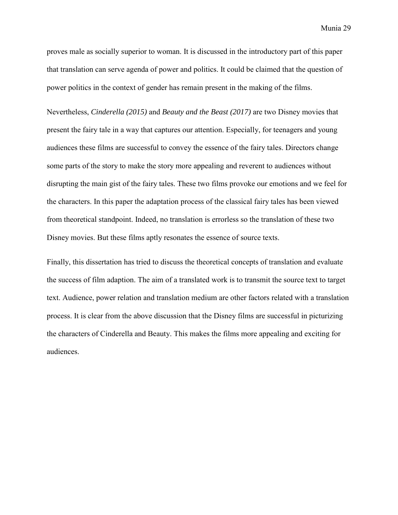proves male as socially superior to woman. It is discussed in the introductory part of this paper that translation can serve agenda of power and politics. It could be claimed that the question of power politics in the context of gender has remain present in the making of the films.

Nevertheless, *Cinderella (2015)* and *Beauty and the Beast (2017)* are two Disney movies that present the fairy tale in a way that captures our attention. Especially, for teenagers and young audiences these films are successful to convey the essence of the fairy tales. Directors change some parts of the story to make the story more appealing and reverent to audiences without disrupting the main gist of the fairy tales. These two films provoke our emotions and we feel for the characters. In this paper the adaptation process of the classical fairy tales has been viewed from theoretical standpoint. Indeed, no translation is errorless so the translation of these two Disney movies. But these films aptly resonates the essence of source texts.

Finally, this dissertation has tried to discuss the theoretical concepts of translation and evaluate the success of film adaption. The aim of a translated work is to transmit the source text to target text. Audience, power relation and translation medium are other factors related with a translation process. It is clear from the above discussion that the Disney films are successful in picturizing the characters of Cinderella and Beauty. This makes the films more appealing and exciting for audiences.